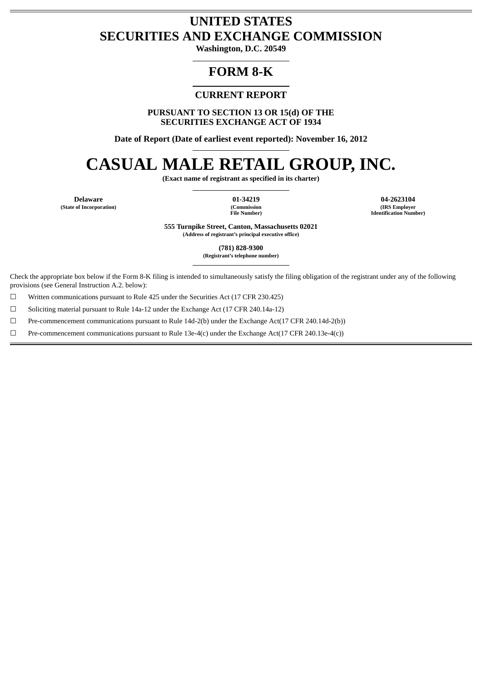# **UNITED STATES SECURITIES AND EXCHANGE COMMISSION**

**Washington, D.C. 20549**

# **FORM 8-K**

# **CURRENT REPORT**

**PURSUANT TO SECTION 13 OR 15(d) OF THE SECURITIES EXCHANGE ACT OF 1934**

**Date of Report (Date of earliest event reported): November 16, 2012**

# **CASUAL MALE RETAIL GROUP, INC.**

**(Exact name of registrant as specified in its charter)**

**(State of Incorporation)** 

**File Number)**

**Delaware 01-34219 04-2623104 (IRS Employer Identification Number)**

> **555 Turnpike Street, Canton, Massachusetts 02021 (Address of registrant's principal executive office)**

> > **(781) 828-9300**

**(Registrant's telephone number)**

Check the appropriate box below if the Form 8-K filing is intended to simultaneously satisfy the filing obligation of the registrant under any of the following provisions (see General Instruction A.2. below):

 $\Box$  Written communications pursuant to Rule 425 under the Securities Act (17 CFR 230.425)

☐ Soliciting material pursuant to Rule 14a-12 under the Exchange Act (17 CFR 240.14a-12)

☐ Pre-commencement communications pursuant to Rule 14d-2(b) under the Exchange Act(17 CFR 240.14d-2(b))

☐ Pre-commencement communications pursuant to Rule 13e-4(c) under the Exchange Act(17 CFR 240.13e-4(c))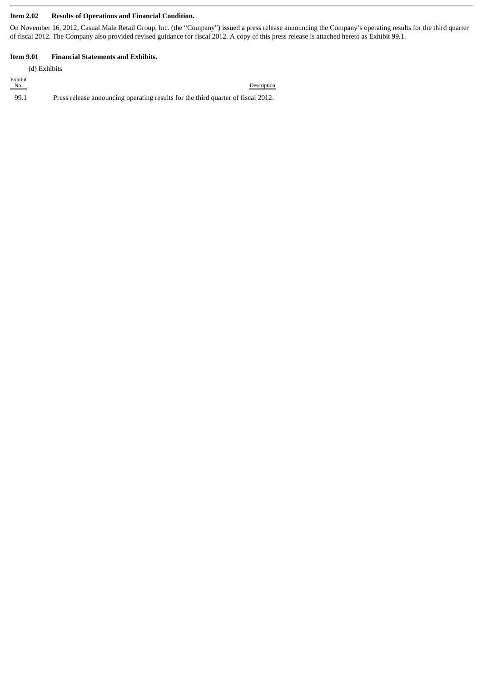#### **Item 2.02 Results of Operations and Financial Condition.**

On November 16, 2012, Casual Male Retail Group, Inc. (the "Company") issued a press release announcing the Company's operating results for the third quarter of fiscal 2012. The Company also provided revised guidance for fiscal 2012. A copy of this press release is attached hereto as Exhibit 99.1.

Description

#### **Item 9.01 Financial Statements and Exhibits.**

(d) Exhibits Exhibit<br>No. 99.1 Press release announcing operating results for the third quarter of fiscal 2012.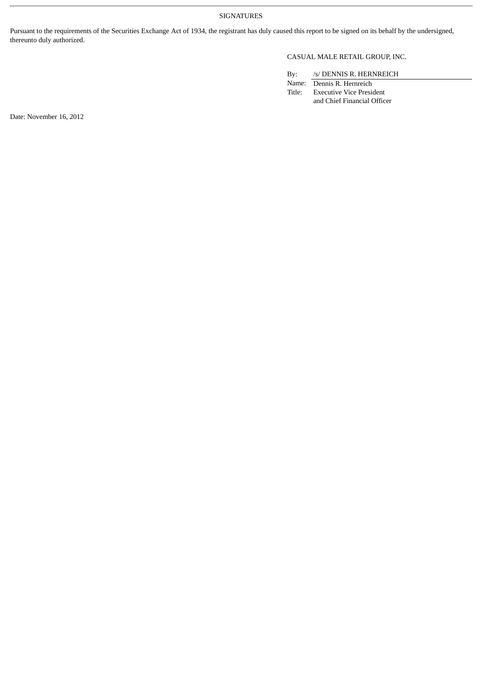#### SIGNATURES

Pursuant to the requirements of the Securities Exchange Act of 1934, the registrant has duly caused this report to be signed on its behalf by the undersigned, thereunto duly authorized.

### CASUAL MALE RETAIL GROUP, INC.

By: /s/ DENNIS R. HERNREICH

Name: Dennis R. Hernreich<br>Title: Executive Vice Presid Executive Vice President and Chief Financial Officer

Date: November 16, 2012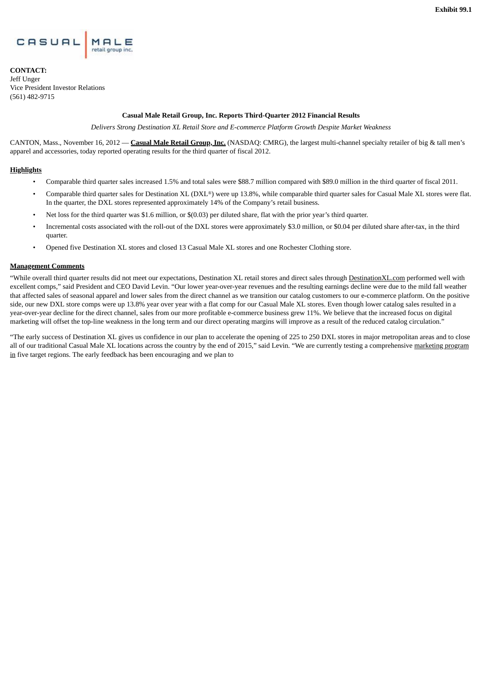

**CONTACT:** Jeff Unger Vice President Investor Relations (561) 482-9715

#### **Casual Male Retail Group, Inc. Reports Third-Quarter 2012 Financial Results**

*Delivers Strong Destination XL Retail Store and E-commerce Platform Growth Despite Market Weakness*

CANTON, Mass., November 16, 2012 — **Casual Male Retail Group, Inc.** (NASDAQ: CMRG), the largest multi-channel specialty retailer of big & tall men's apparel and accessories, today reported operating results for the third quarter of fiscal 2012.

#### **Highlights**

- Comparable third quarter sales increased 1.5% and total sales were \$88.7 million compared with \$89.0 million in the third quarter of fiscal 2011.
- Comparable third quarter sales for Destination XL (DXL®) were up 13.8%, while comparable third quarter sales for Casual Male XL stores were flat. In the quarter, the DXL stores represented approximately 14% of the Company's retail business.
- Net loss for the third quarter was \$1.6 million, or \$(0.03) per diluted share, flat with the prior year's third quarter.
- Incremental costs associated with the roll-out of the DXL stores were approximately \$3.0 million, or \$0.04 per diluted share after-tax, in the third quarter.
- Opened five Destination XL stores and closed 13 Casual Male XL stores and one Rochester Clothing store.

#### **Management Comments**

"While overall third quarter results did not meet our expectations, Destination XL retail stores and direct sales through DestinationXL.com performed well with excellent comps," said President and CEO David Levin. "Our lower year-over-year revenues and the resulting earnings decline were due to the mild fall weather that affected sales of seasonal apparel and lower sales from the direct channel as we transition our catalog customers to our e-commerce platform. On the positive side, our new DXL store comps were up 13.8% year over year with a flat comp for our Casual Male XL stores. Even though lower catalog sales resulted in a year-over-year decline for the direct channel, sales from our more profitable e-commerce business grew 11%. We believe that the increased focus on digital marketing will offset the top-line weakness in the long term and our direct operating margins will improve as a result of the reduced catalog circulation."

"The early success of Destination XL gives us confidence in our plan to accelerate the opening of 225 to 250 DXL stores in major metropolitan areas and to close all of our traditional Casual Male XL locations across the country by the end of 2015," said Levin. "We are currently testing a comprehensive marketing program in five target regions. The early feedback has been encouraging and we plan to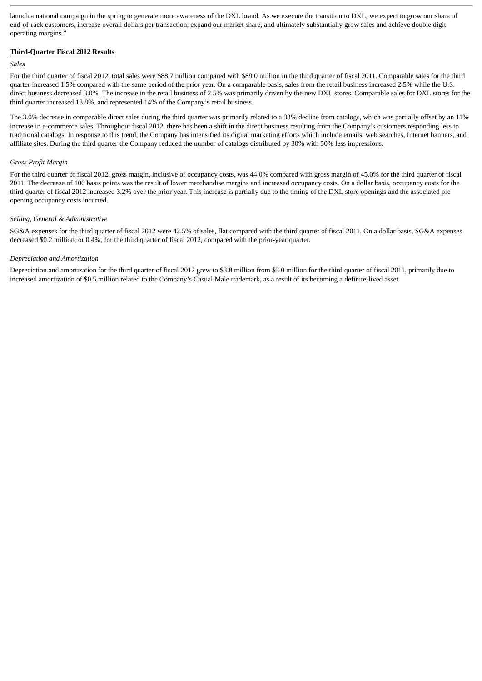launch a national campaign in the spring to generate more awareness of the DXL brand. As we execute the transition to DXL, we expect to grow our share of end-of-rack customers, increase overall dollars per transaction, expand our market share, and ultimately substantially grow sales and achieve double digit operating margins."

#### **Third-Quarter Fiscal 2012 Results**

#### *Sales*

For the third quarter of fiscal 2012, total sales were \$88.7 million compared with \$89.0 million in the third quarter of fiscal 2011. Comparable sales for the third quarter increased 1.5% compared with the same period of the prior year. On a comparable basis, sales from the retail business increased 2.5% while the U.S. direct business decreased 3.0%. The increase in the retail business of 2.5% was primarily driven by the new DXL stores. Comparable sales for DXL stores for the third quarter increased 13.8%, and represented 14% of the Company's retail business.

The 3.0% decrease in comparable direct sales during the third quarter was primarily related to a 33% decline from catalogs, which was partially offset by an 11% increase in e-commerce sales. Throughout fiscal 2012, there has been a shift in the direct business resulting from the Company's customers responding less to traditional catalogs. In response to this trend, the Company has intensified its digital marketing efforts which include emails, web searches, Internet banners, and affiliate sites. During the third quarter the Company reduced the number of catalogs distributed by 30% with 50% less impressions.

#### *Gross Profit Margin*

For the third quarter of fiscal 2012, gross margin, inclusive of occupancy costs, was 44.0% compared with gross margin of 45.0% for the third quarter of fiscal 2011. The decrease of 100 basis points was the result of lower merchandise margins and increased occupancy costs. On a dollar basis, occupancy costs for the third quarter of fiscal 2012 increased 3.2% over the prior year. This increase is partially due to the timing of the DXL store openings and the associated preopening occupancy costs incurred.

#### *Selling, General & Administrative*

SG&A expenses for the third quarter of fiscal 2012 were 42.5% of sales, flat compared with the third quarter of fiscal 2011. On a dollar basis, SG&A expenses decreased \$0.2 million, or 0.4%, for the third quarter of fiscal 2012, compared with the prior-year quarter.

#### *Depreciation and Amortization*

Depreciation and amortization for the third quarter of fiscal 2012 grew to \$3.8 million from \$3.0 million for the third quarter of fiscal 2011, primarily due to increased amortization of \$0.5 million related to the Company's Casual Male trademark, as a result of its becoming a definite-lived asset.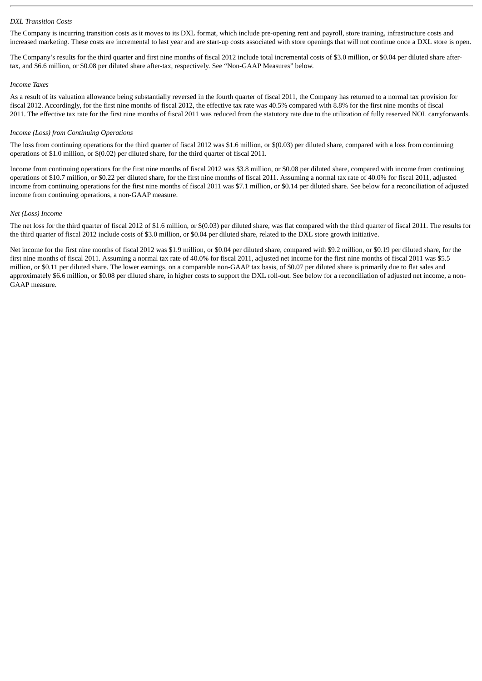#### *DXL Transition Costs*

The Company is incurring transition costs as it moves to its DXL format, which include pre-opening rent and payroll, store training, infrastructure costs and increased marketing. These costs are incremental to last year and are start-up costs associated with store openings that will not continue once a DXL store is open.

The Company's results for the third quarter and first nine months of fiscal 2012 include total incremental costs of \$3.0 million, or \$0.04 per diluted share aftertax, and \$6.6 million, or \$0.08 per diluted share after-tax, respectively. See "Non-GAAP Measures" below.

#### *Income Taxes*

As a result of its valuation allowance being substantially reversed in the fourth quarter of fiscal 2011, the Company has returned to a normal tax provision for fiscal 2012. Accordingly, for the first nine months of fiscal 2012, the effective tax rate was 40.5% compared with 8.8% for the first nine months of fiscal 2011. The effective tax rate for the first nine months of fiscal 2011 was reduced from the statutory rate due to the utilization of fully reserved NOL carryforwards.

#### *Income (Loss) from Continuing Operations*

The loss from continuing operations for the third quarter of fiscal 2012 was \$1.6 million, or \$(0.03) per diluted share, compared with a loss from continuing operations of \$1.0 million, or \$(0.02) per diluted share, for the third quarter of fiscal 2011.

Income from continuing operations for the first nine months of fiscal 2012 was \$3.8 million, or \$0.08 per diluted share, compared with income from continuing operations of \$10.7 million, or \$0.22 per diluted share, for the first nine months of fiscal 2011. Assuming a normal tax rate of 40.0% for fiscal 2011, adjusted income from continuing operations for the first nine months of fiscal 2011 was \$7.1 million, or \$0.14 per diluted share. See below for a reconciliation of adjusted income from continuing operations, a non-GAAP measure.

#### *Net (Loss) Income*

The net loss for the third quarter of fiscal 2012 of \$1.6 million, or \$(0.03) per diluted share, was flat compared with the third quarter of fiscal 2011. The results for the third quarter of fiscal 2012 include costs of \$3.0 million, or \$0.04 per diluted share, related to the DXL store growth initiative.

Net income for the first nine months of fiscal 2012 was \$1.9 million, or \$0.04 per diluted share, compared with \$9.2 million, or \$0.19 per diluted share, for the first nine months of fiscal 2011. Assuming a normal tax rate of 40.0% for fiscal 2011, adjusted net income for the first nine months of fiscal 2011 was \$5.5 million, or \$0.11 per diluted share. The lower earnings, on a comparable non-GAAP tax basis, of \$0.07 per diluted share is primarily due to flat sales and approximately \$6.6 million, or \$0.08 per diluted share, in higher costs to support the DXL roll-out. See below for a reconciliation of adjusted net income, a non-GAAP measure.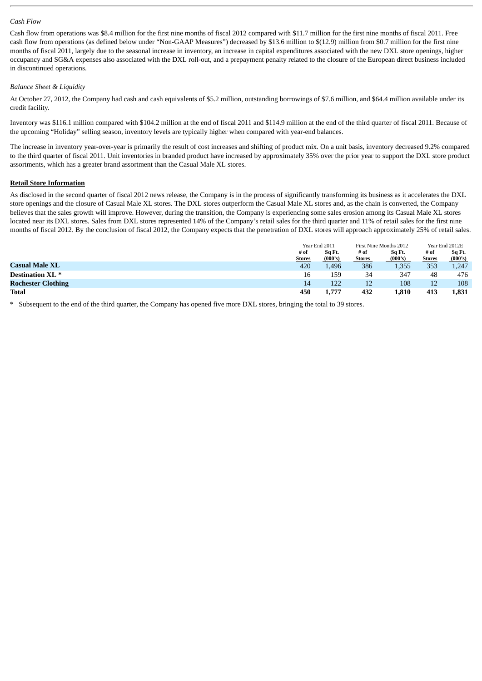#### *Cash Flow*

Cash flow from operations was \$8.4 million for the first nine months of fiscal 2012 compared with \$11.7 million for the first nine months of fiscal 2011. Free cash flow from operations (as defined below under "Non-GAAP Measures") decreased by \$13.6 million to \$(12.9) million from \$0.7 million for the first nine months of fiscal 2011, largely due to the seasonal increase in inventory, an increase in capital expenditures associated with the new DXL store openings, higher occupancy and SG&A expenses also associated with the DXL roll-out, and a prepayment penalty related to the closure of the European direct business included in discontinued operations.

#### *Balance Sheet & Liquidity*

At October 27, 2012, the Company had cash and cash equivalents of \$5.2 million, outstanding borrowings of \$7.6 million, and \$64.4 million available under its credit facility.

Inventory was \$116.1 million compared with \$104.2 million at the end of fiscal 2011 and \$114.9 million at the end of the third quarter of fiscal 2011. Because of the upcoming "Holiday" selling season, inventory levels are typically higher when compared with year-end balances.

The increase in inventory year-over-year is primarily the result of cost increases and shifting of product mix. On a unit basis, inventory decreased 9.2% compared to the third quarter of fiscal 2011. Unit inventories in branded product have increased by approximately 35% over the prior year to support the DXL store product assortments, which has a greater brand assortment than the Casual Male XL stores.

#### **Retail Store Information**

As disclosed in the second quarter of fiscal 2012 news release, the Company is in the process of significantly transforming its business as it accelerates the DXL store openings and the closure of Casual Male XL stores. The DXL stores outperform the Casual Male XL stores and, as the chain is converted, the Company believes that the sales growth will improve. However, during the transition, the Company is experiencing some sales erosion among its Casual Male XL stores located near its DXL stores. Sales from DXL stores represented 14% of the Company's retail sales for the third quarter and 11% of retail sales for the first nine months of fiscal 2012. By the conclusion of fiscal 2012, the Company expects that the penetration of DXL stores will approach approximately 25% of retail sales.

|                             |                       | Year End 2011     |                       | First Nine Months 2012 |                       | Year End 2012E    |
|-----------------------------|-----------------------|-------------------|-----------------------|------------------------|-----------------------|-------------------|
|                             | # of<br><b>Stores</b> | Sq Ft.<br>(000's) | # of<br><b>Stores</b> | Sq Ft.<br>(000's)      | # of<br><b>Stores</b> | Sq Ft.<br>(000's) |
| <b>Casual Male XL</b>       | 420                   | 1,496             | 386                   | 1,355                  | 353                   | 1,247             |
| Destination XL <sup>*</sup> | 16                    | 159               | 34                    | 347                    | 48                    | 476               |
| <b>Rochester Clothing</b>   | 14                    | 122               | 12                    | 108                    | 12                    | 108               |
| <b>Total</b>                | 450                   | 1,777             | 432                   | 1,810                  | 413                   | 1,831             |

\* Subsequent to the end of the third quarter, the Company has opened five more DXL stores, bringing the total to 39 stores.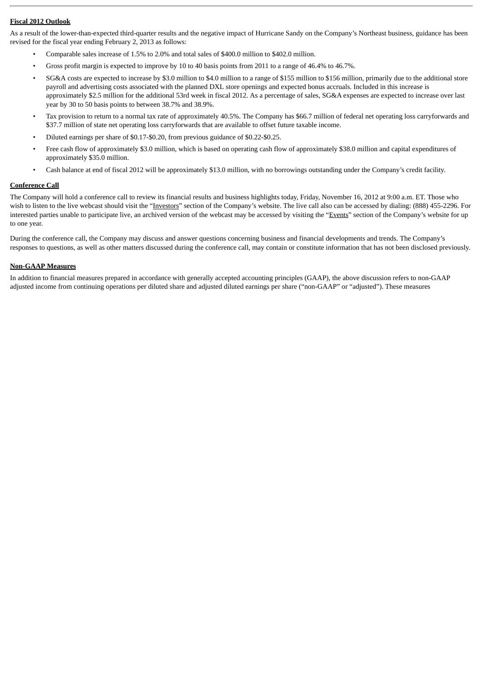#### **Fiscal 2012 Outlook**

As a result of the lower-than-expected third-quarter results and the negative impact of Hurricane Sandy on the Company's Northeast business, guidance has been revised for the fiscal year ending February 2, 2013 as follows:

- Comparable sales increase of 1.5% to 2.0% and total sales of \$400.0 million to \$402.0 million.
- Gross profit margin is expected to improve by 10 to 40 basis points from 2011 to a range of 46.4% to 46.7%.
- SG&A costs are expected to increase by \$3.0 million to \$4.0 million to a range of \$155 million to \$156 million, primarily due to the additional store payroll and advertising costs associated with the planned DXL store openings and expected bonus accruals. Included in this increase is approximately \$2.5 million for the additional 53rd week in fiscal 2012. As a percentage of sales, SG&A expenses are expected to increase over last year by 30 to 50 basis points to between 38.7% and 38.9%.
- Tax provision to return to a normal tax rate of approximately 40.5%. The Company has \$66.7 million of federal net operating loss carryforwards and \$37.7 million of state net operating loss carryforwards that are available to offset future taxable income.
- Diluted earnings per share of \$0.17-\$0.20, from previous guidance of \$0.22-\$0.25.
- Free cash flow of approximately \$3.0 million, which is based on operating cash flow of approximately \$38.0 million and capital expenditures of approximately \$35.0 million.
- Cash balance at end of fiscal 2012 will be approximately \$13.0 million, with no borrowings outstanding under the Company's credit facility.

#### **Conference Call**

The Company will hold a conference call to review its financial results and business highlights today, Friday, November 16, 2012 at 9:00 a.m. ET. Those who wish to listen to the live webcast should visit the "Investors" section of the Company's website. The live call also can be accessed by dialing: (888) 455-2296. For interested parties unable to participate live, an archived version of the webcast may be accessed by visiting the "Events" section of the Company's website for up to one year.

During the conference call, the Company may discuss and answer questions concerning business and financial developments and trends. The Company's responses to questions, as well as other matters discussed during the conference call, may contain or constitute information that has not been disclosed previously.

#### **Non-GAAP Measures**

In addition to financial measures prepared in accordance with generally accepted accounting principles (GAAP), the above discussion refers to non-GAAP adjusted income from continuing operations per diluted share and adjusted diluted earnings per share ("non-GAAP" or "adjusted"). These measures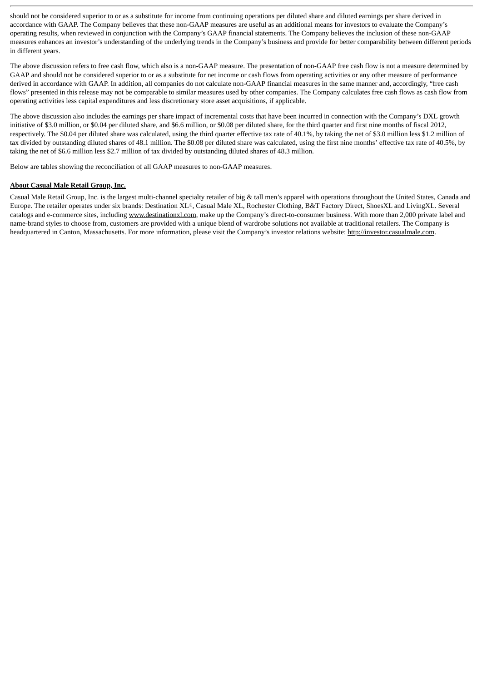should not be considered superior to or as a substitute for income from continuing operations per diluted share and diluted earnings per share derived in accordance with GAAP. The Company believes that these non-GAAP measures are useful as an additional means for investors to evaluate the Company's operating results, when reviewed in conjunction with the Company's GAAP financial statements. The Company believes the inclusion of these non-GAAP measures enhances an investor's understanding of the underlying trends in the Company's business and provide for better comparability between different periods in different years.

The above discussion refers to free cash flow, which also is a non-GAAP measure. The presentation of non-GAAP free cash flow is not a measure determined by GAAP and should not be considered superior to or as a substitute for net income or cash flows from operating activities or any other measure of performance derived in accordance with GAAP. In addition, all companies do not calculate non-GAAP financial measures in the same manner and, accordingly, "free cash flows" presented in this release may not be comparable to similar measures used by other companies. The Company calculates free cash flows as cash flow from operating activities less capital expenditures and less discretionary store asset acquisitions, if applicable.

The above discussion also includes the earnings per share impact of incremental costs that have been incurred in connection with the Company's DXL growth initiative of \$3.0 million, or \$0.04 per diluted share, and \$6.6 million, or \$0.08 per diluted share, for the third quarter and first nine months of fiscal 2012, respectively. The \$0.04 per diluted share was calculated, using the third quarter effective tax rate of 40.1%, by taking the net of \$3.0 million less \$1.2 million of tax divided by outstanding diluted shares of 48.1 million. The \$0.08 per diluted share was calculated, using the first nine months' effective tax rate of 40.5%, by taking the net of \$6.6 million less \$2.7 million of tax divided by outstanding diluted shares of 48.3 million.

Below are tables showing the reconciliation of all GAAP measures to non-GAAP measures.

#### **About Casual Male Retail Group, Inc.**

Casual Male Retail Group, Inc. is the largest multi-channel specialty retailer of big & tall men's apparel with operations throughout the United States, Canada and Europe. The retailer operates under six brands: Destination XL®, Casual Male XL, Rochester Clothing, B&T Factory Direct, ShoesXL and LivingXL. Several catalogs and e-commerce sites, including www.destinationxl.com, make up the Company's direct-to-consumer business. With more than 2,000 private label and name-brand styles to choose from, customers are provided with a unique blend of wardrobe solutions not available at traditional retailers. The Company is headquartered in Canton, Massachusetts. For more information, please visit the Company's investor relations website: http://investor.casualmale.com.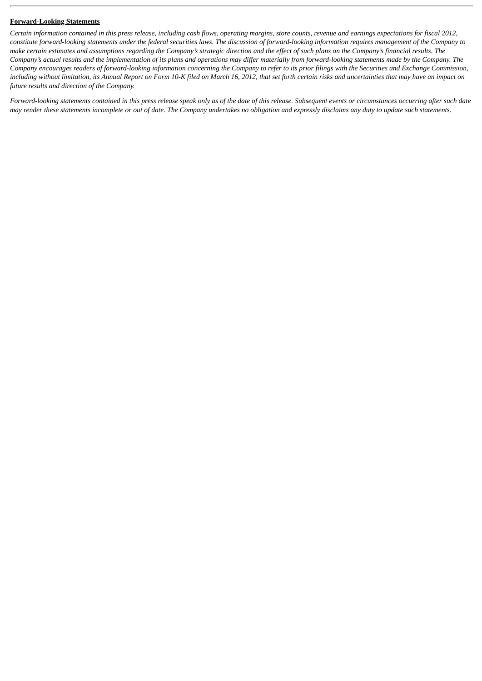#### **Forward-Looking Statements**

*Certain information contained in this press release, including cash flows, operating margins, store counts, revenue and earnings expectations for fiscal 2012, constitute forward-looking statements under the federal securities laws. The discussion of forward-looking information requires management of the Company to make certain estimates and assumptions regarding the Company's strategic direction and the effect of such plans on the Company's financial results. The Company's actual results and the implementation of its plans and operations may differ materially from forward-looking statements made by the Company. The Company encourages readers of forward-looking information concerning the Company to refer to its prior filings with the Securities and Exchange Commission, including without limitation, its Annual Report on Form 10-K filed on March 16, 2012, that set forth certain risks and uncertainties that may have an impact on future results and direction of the Company.*

*Forward-looking statements contained in this press release speak only as of the date of this release. Subsequent events or circumstances occurring after such date may render these statements incomplete or out of date. The Company undertakes no obligation and expressly disclaims any duty to update such statements.*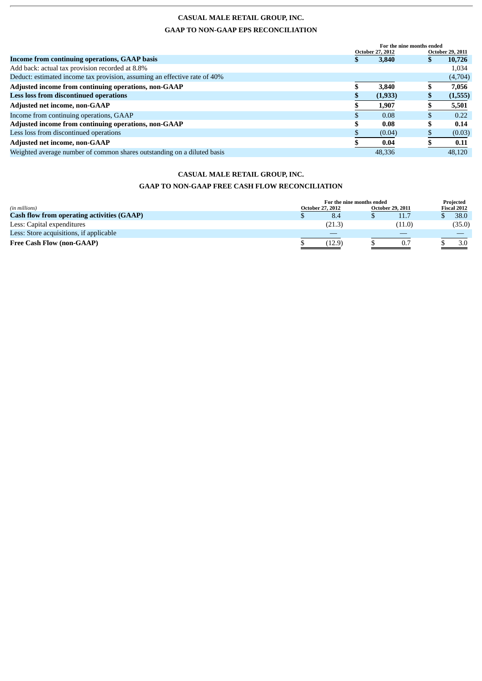## **CASUAL MALE RETAIL GROUP, INC. GAAP TO NON-GAAP EPS RECONCILIATION**

|                                                                           | For the nine months ended |                         |                         |         |  |
|---------------------------------------------------------------------------|---------------------------|-------------------------|-------------------------|---------|--|
|                                                                           |                           | <b>October 27, 2012</b> | <b>October 29, 2011</b> |         |  |
| Income from continuing operations, GAAP basis                             |                           | 3,840                   |                         | 10,726  |  |
| Add back: actual tax provision recorded at 8.8%                           |                           |                         |                         | 1,034   |  |
| Deduct: estimated income tax provision, assuming an effective rate of 40% |                           |                         |                         | (4,704) |  |
| Adjusted income from continuing operations, non-GAAP                      |                           | 3,840                   |                         | 7,056   |  |
| <b>Less loss from discontinued operations</b>                             |                           | (1,933)                 |                         | (1,555) |  |
| <b>Adjusted net income, non-GAAP</b>                                      |                           | 1,907                   |                         | 5,501   |  |
| Income from continuing operations, GAAP                                   |                           | 0.08                    |                         | 0.22    |  |
| Adjusted income from continuing operations, non-GAAP                      |                           | 0.08                    |                         | 0.14    |  |
| Less loss from discontinued operations                                    |                           | (0.04)                  |                         | (0.03)  |  |
| Adjusted net income, non-GAAP                                             |                           | 0.04                    |                         | 0.11    |  |
| Weighted average number of common shares outstanding on a diluted basis   |                           | 48,336                  |                         | 48,120  |  |

## **CASUAL MALE RETAIL GROUP, INC. GAAP TO NON-GAAP FREE CASH FLOW RECONCILIATION**

| (in millions)                                     | For the nine months ended<br><b>October 29, 2011</b><br><b>October 27, 2012</b> |  |        | Projected<br>Fiscal 2012 |        |  |
|---------------------------------------------------|---------------------------------------------------------------------------------|--|--------|--------------------------|--------|--|
| <b>Cash flow from operating activities (GAAP)</b> | 8.4                                                                             |  | 11.7   |                          | 38.0   |  |
| Less: Capital expenditures                        | (21.3)                                                                          |  | (11.0) |                          | (35.0) |  |
| Less: Store acquisitions, if applicable           |                                                                                 |  |        |                          |        |  |
| <b>Free Cash Flow (non-GAAP)</b>                  | (12.9)                                                                          |  | 0.7    |                          | 3.0    |  |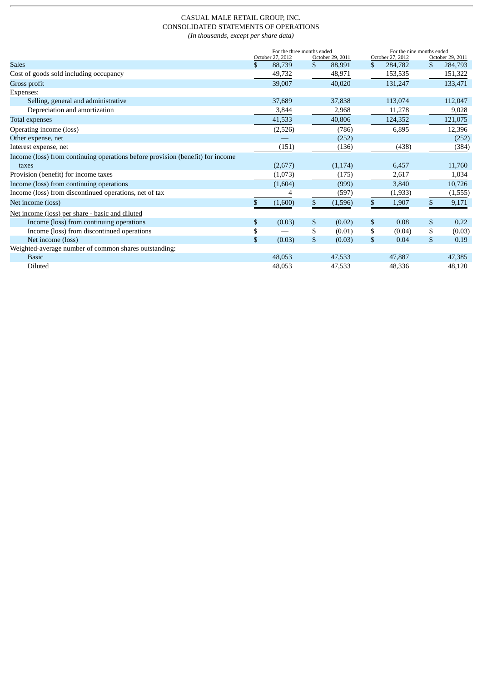#### CASUAL MALE RETAIL GROUP, INC. CONSOLIDATED STATEMENTS OF OPERATIONS *(In thousands, except per share data)*

|                                                                                | For the three months ended |    |                  |              | For the nine months ended |    |                  |  |
|--------------------------------------------------------------------------------|----------------------------|----|------------------|--------------|---------------------------|----|------------------|--|
|                                                                                | October 27, 2012           |    | October 29, 2011 |              | October 27, 2012          |    | October 29, 2011 |  |
| <b>Sales</b>                                                                   | \$<br>88,739               | \$ | 88,991           | \$           | 284,782                   | \$ | 284,793          |  |
| Cost of goods sold including occupancy                                         | 49,732                     |    | 48,971           |              | 153,535                   |    | 151,322          |  |
| Gross profit                                                                   | 39,007                     |    | 40,020           |              | 131,247                   |    | 133,471          |  |
| Expenses:                                                                      |                            |    |                  |              |                           |    |                  |  |
| Selling, general and administrative                                            | 37,689                     |    | 37,838           |              | 113,074                   |    | 112,047          |  |
| Depreciation and amortization                                                  | 3,844                      |    | 2,968            |              | 11,278                    |    | 9,028            |  |
| Total expenses                                                                 | 41,533                     |    | 40,806           |              | 124,352                   |    | 121,075          |  |
| Operating income (loss)                                                        | (2,526)                    |    | (786)            |              | 6,895                     |    | 12,396           |  |
| Other expense, net                                                             |                            |    | (252)            |              |                           |    | (252)            |  |
| Interest expense, net                                                          | (151)                      |    | (136)            |              | (438)                     |    | (384)            |  |
| Income (loss) from continuing operations before provision (benefit) for income |                            |    |                  |              |                           |    |                  |  |
| taxes                                                                          | (2,677)                    |    | (1, 174)         |              | 6,457                     |    | 11,760           |  |
| Provision (benefit) for income taxes                                           | (1,073)                    |    | (175)            |              | 2,617                     |    | 1,034            |  |
| Income (loss) from continuing operations                                       | (1,604)                    |    | (999)            |              | 3,840                     |    | 10,726           |  |
| Income (loss) from discontinued operations, net of tax                         |                            |    | (597)            |              | (1,933)                   |    | (1, 555)         |  |
| Net income (loss)                                                              | (1,600)                    | S. | (1,596)          | \$           | 1,907                     | \$ | 9,171            |  |
| Net income (loss) per share - basic and diluted                                |                            |    |                  |              |                           |    |                  |  |
| Income (loss) from continuing operations                                       | \$<br>(0.03)               | \$ | (0.02)           | $\mathbb{S}$ | 0.08                      | \$ | 0.22             |  |
| Income (loss) from discontinued operations                                     | \$                         | \$ | (0.01)           | \$           | (0.04)                    | \$ | (0.03)           |  |
| Net income (loss)                                                              | \$<br>(0.03)               | \$ | (0.03)           | \$           | 0.04                      | \$ | 0.19             |  |
| Weighted-average number of common shares outstanding:                          |                            |    |                  |              |                           |    |                  |  |
| <b>Basic</b>                                                                   | 48,053                     |    | 47,533           |              | 47,887                    |    | 47,385           |  |
| Diluted                                                                        | 48,053                     |    | 47,533           |              | 48,336                    |    | 48,120           |  |